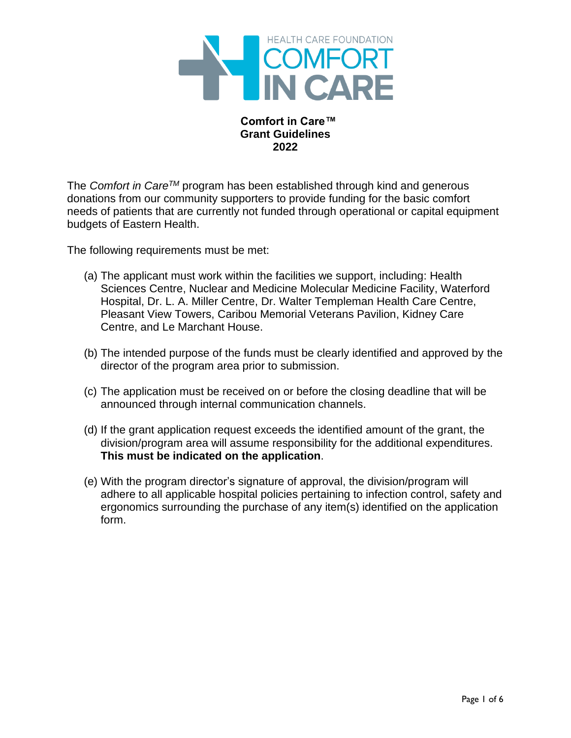

### **Comfort in Care™ Grant Guidelines 2022**

The *Comfort in CareTM* program has been established through kind and generous donations from our community supporters to provide funding for the basic comfort needs of patients that are currently not funded through operational or capital equipment budgets of Eastern Health.

The following requirements must be met:

- (a) The applicant must work within the facilities we support, including: Health Sciences Centre, Nuclear and Medicine Molecular Medicine Facility, Waterford Hospital, Dr. L. A. Miller Centre, Dr. Walter Templeman Health Care Centre, Pleasant View Towers, Caribou Memorial Veterans Pavilion, Kidney Care Centre, and Le Marchant House.
- (b) The intended purpose of the funds must be clearly identified and approved by the director of the program area prior to submission.
- (c) The application must be received on or before the closing deadline that will be announced through internal communication channels.
- (d) If the grant application request exceeds the identified amount of the grant, the division/program area will assume responsibility for the additional expenditures. **This must be indicated on the application**.
- (e) With the program director's signature of approval, the division/program will adhere to all applicable hospital policies pertaining to infection control, safety and ergonomics surrounding the purchase of any item(s) identified on the application form.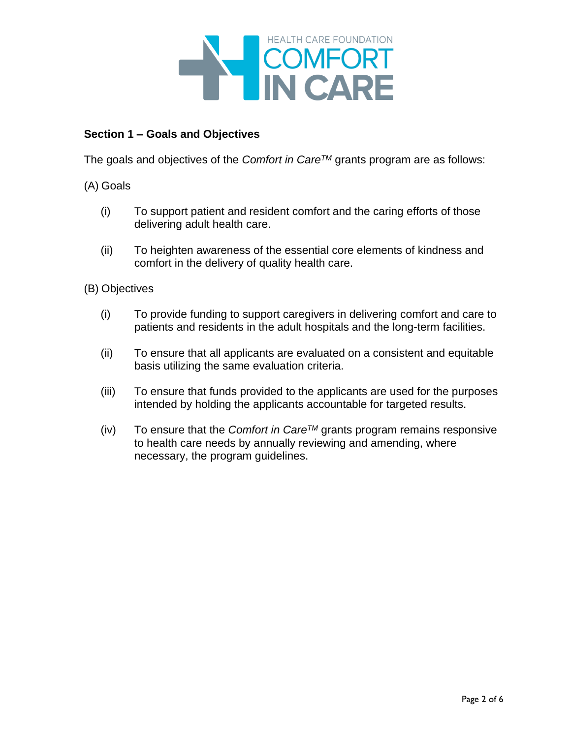

# **Section 1 – Goals and Objectives**

The goals and objectives of the *Comfort in CareTM* grants program are as follows:

(A) Goals

- (i) To support patient and resident comfort and the caring efforts of those delivering adult health care.
- (ii) To heighten awareness of the essential core elements of kindness and comfort in the delivery of quality health care.

(B) Objectives

- (i) To provide funding to support caregivers in delivering comfort and care to patients and residents in the adult hospitals and the long-term facilities.
- (ii) To ensure that all applicants are evaluated on a consistent and equitable basis utilizing the same evaluation criteria.
- (iii) To ensure that funds provided to the applicants are used for the purposes intended by holding the applicants accountable for targeted results.
- (iv) To ensure that the *Comfort in CareTM* grants program remains responsive to health care needs by annually reviewing and amending, where necessary, the program guidelines.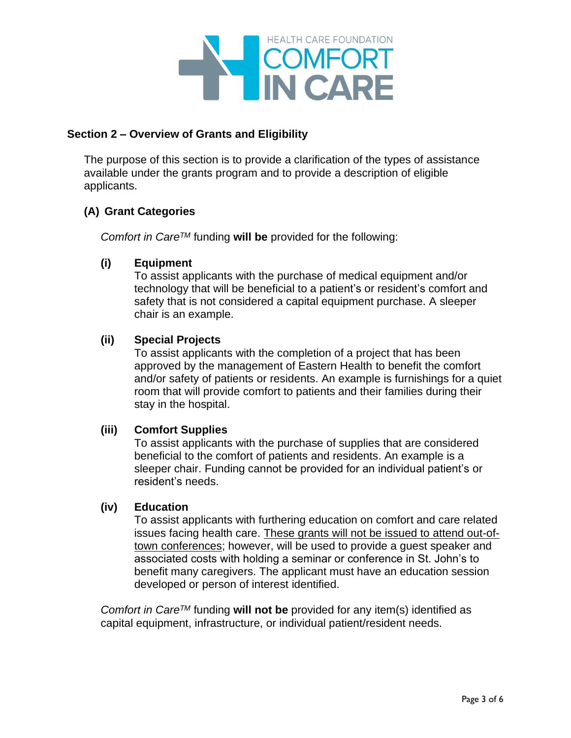

### **Section 2 – Overview of Grants and Eligibility**

The purpose of this section is to provide a clarification of the types of assistance available under the grants program and to provide a description of eligible applicants.

# **(A) Grant Categories**

*Comfort in CareTM* funding **will be** provided for the following:

### **(i) Equipment**

To assist applicants with the purchase of medical equipment and/or technology that will be beneficial to a patient's or resident's comfort and safety that is not considered a capital equipment purchase. A sleeper chair is an example.

### **(ii) Special Projects**

To assist applicants with the completion of a project that has been approved by the management of Eastern Health to benefit the comfort and/or safety of patients or residents. An example is furnishings for a quiet room that will provide comfort to patients and their families during their stay in the hospital.

### **(iii) Comfort Supplies**

To assist applicants with the purchase of supplies that are considered beneficial to the comfort of patients and residents. An example is a sleeper chair. Funding cannot be provided for an individual patient's or resident's needs.

### **(iv) Education**

To assist applicants with furthering education on comfort and care related issues facing health care. These grants will not be issued to attend out-oftown conferences; however, will be used to provide a guest speaker and associated costs with holding a seminar or conference in St. John's to benefit many caregivers. The applicant must have an education session developed or person of interest identified.

*Comfort in CareTM* funding **will not be** provided for any item(s) identified as capital equipment, infrastructure, or individual patient/resident needs.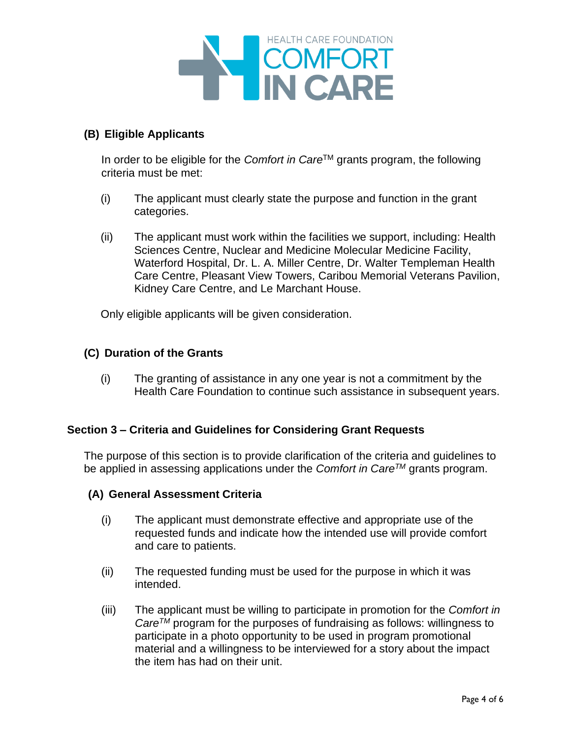

# **(B) Eligible Applicants**

In order to be eligible for the *Comfort in Care*TM grants program, the following criteria must be met:

- (i) The applicant must clearly state the purpose and function in the grant categories.
- (ii) The applicant must work within the facilities we support, including: Health Sciences Centre, Nuclear and Medicine Molecular Medicine Facility, Waterford Hospital, Dr. L. A. Miller Centre, Dr. Walter Templeman Health Care Centre, Pleasant View Towers, Caribou Memorial Veterans Pavilion, Kidney Care Centre, and Le Marchant House.

Only eligible applicants will be given consideration.

### **(C) Duration of the Grants**

(i) The granting of assistance in any one year is not a commitment by the Health Care Foundation to continue such assistance in subsequent years.

### **Section 3 – Criteria and Guidelines for Considering Grant Requests**

The purpose of this section is to provide clarification of the criteria and guidelines to be applied in assessing applications under the *Comfort in CareTM* grants program.

### **(A) General Assessment Criteria**

- (i) The applicant must demonstrate effective and appropriate use of the requested funds and indicate how the intended use will provide comfort and care to patients.
- (ii) The requested funding must be used for the purpose in which it was intended.
- (iii) The applicant must be willing to participate in promotion for the *Comfort in CareTM* program for the purposes of fundraising as follows: willingness to participate in a photo opportunity to be used in program promotional material and a willingness to be interviewed for a story about the impact the item has had on their unit.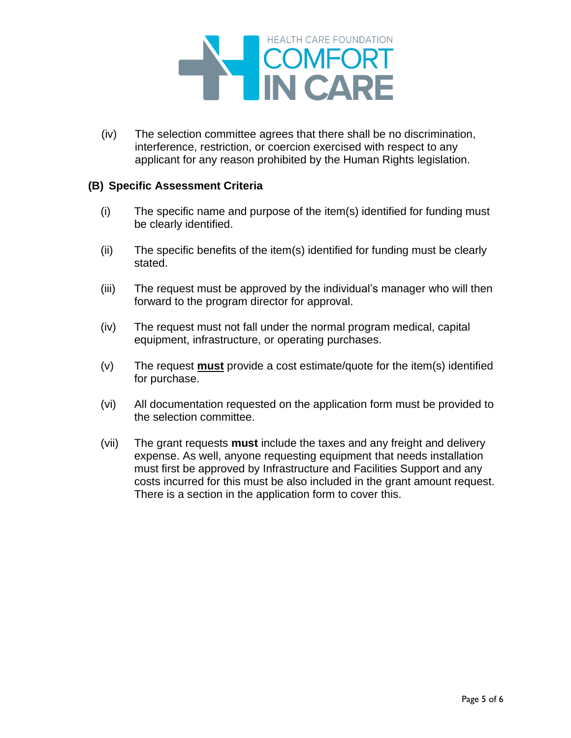

(iv) The selection committee agrees that there shall be no discrimination, interference, restriction, or coercion exercised with respect to any applicant for any reason prohibited by the Human Rights legislation.

#### **(B) Specific Assessment Criteria**

- (i) The specific name and purpose of the item(s) identified for funding must be clearly identified.
- (ii) The specific benefits of the item(s) identified for funding must be clearly stated.
- (iii) The request must be approved by the individual's manager who will then forward to the program director for approval.
- (iv) The request must not fall under the normal program medical, capital equipment, infrastructure, or operating purchases.
- (v) The request **must** provide a cost estimate/quote for the item(s) identified for purchase.
- (vi) All documentation requested on the application form must be provided to the selection committee.
- (vii) The grant requests **must** include the taxes and any freight and delivery expense. As well, anyone requesting equipment that needs installation must first be approved by Infrastructure and Facilities Support and any costs incurred for this must be also included in the grant amount request. There is a section in the application form to cover this.